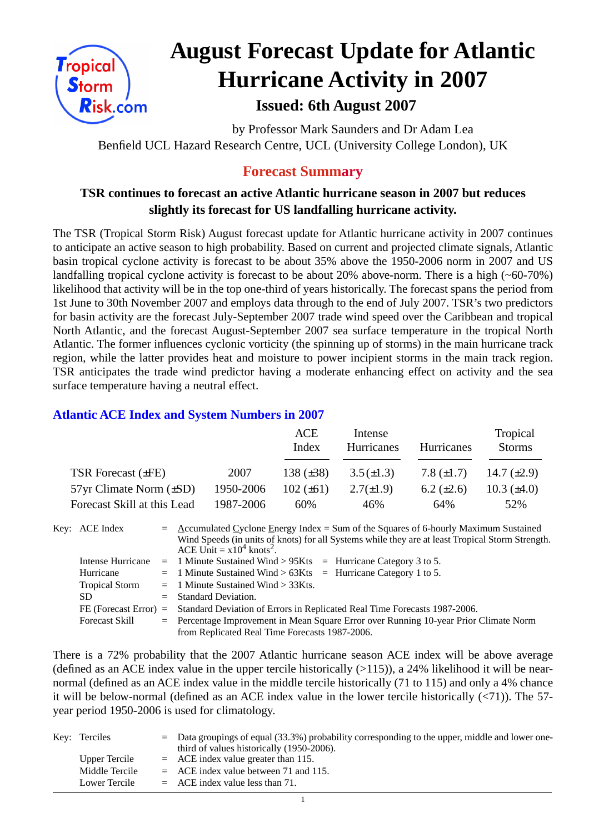

# **August Forecast Update for Atlantic Hurricane Activity in 2007 Issued: 6th August 2007**

by Professor Mark Saunders and Dr Adam Lea Benfield UCL Hazard Research Centre, UCL (University College London), UK

## **Forecast Summary**

### **TSR continues to forecast an active Atlantic hurricane season in 2007 but reduces slightly its forecast for US landfalling hurricane activity.**

The TSR (Tropical Storm Risk) August forecast update for Atlantic hurricane activity in 2007 continues to anticipate an active season to high probability. Based on current and projected climate signals, Atlantic basin tropical cyclone activity is forecast to be about 35% above the 1950-2006 norm in 2007 and US landfalling tropical cyclone activity is forecast to be about 20% above-norm. There is a high (~60-70%) likelihood that activity will be in the top one-third of years historically. The forecast spans the period from 1st June to 30th November 2007 and employs data through to the end of July 2007. TSR's two predictors for basin activity are the forecast July-September 2007 trade wind speed over the Caribbean and tropical North Atlantic, and the forecast August-September 2007 sea surface temperature in the tropical North Atlantic. The former influences cyclonic vorticity (the spinning up of storms) in the main hurricane track region, while the latter provides heat and moisture to power incipient storms in the main track region. TSR anticipates the trade wind predictor having a moderate enhancing effect on activity and the sea surface temperature having a neutral effect.

#### **Atlantic ACE Index and System Numbers in 2007**

|                                |           | <b>ACE</b><br>Index | Intense<br>Hurricanes | Hurricanes        | Tropical<br><b>Storms</b> |
|--------------------------------|-----------|---------------------|-----------------------|-------------------|---------------------------|
| TSR Forecast $(\pm FE)$        | 2007      | 138 $(\pm 38)$      | $3.5(\pm 1.3)$        | 7.8 $(\pm 1.7)$   | 14.7 $(\pm 2.9)$          |
| $57yr$ Climate Norm $(\pm SD)$ | 1950-2006 | $102 (\pm 61)$      | $2.7(\pm 1.9)$        | $6.2 \ (\pm 2.6)$ | $10.3 \ (\pm 4.0)$        |
| Forecast Skill at this Lead    | 1987-2006 | 60%                 | 46%                   | 64%               | 52%                       |

Key: ACE Index  $=$  Accumulated Cyclone Energy Index = Sum of the Squares of 6-hourly Maximum Sustained Wind Speeds (in units of knots) for all Systems while they are at least Tropical Storm Strength. ACE Unit =  $x10^4$  knots<sup>2</sup>. Intense Hurricane = 1 Minute Sustained Wind > 95Kts = Hurricane Category 3 to 5. Hurricane  $= 1$  Minute Sustained Wind  $> 63K$ ts = Hurricane Category 1 to 5. Tropical Storm  $= 1$  Minute Sustained Wind  $> 33Kts$ .  $SD$  = Standard Deviation. FE (Forecast Error) = Standard Deviation of Errors in Replicated Real Time Forecasts 1987-2006. Forecast Skill = Percentage Improvement in Mean Square Error over Running 10-year Prior Climate Norm from Replicated Real Time Forecasts 1987-2006.

There is a 72% probability that the 2007 Atlantic hurricane season ACE index will be above average (defined as an ACE index value in the upper tercile historically  $(>115)$ ), a 24% likelihood it will be nearnormal (defined as an ACE index value in the middle tercile historically (71 to 115) and only a 4% chance it will be below-normal (defined as an ACE index value in the lower tercile historically  $(\langle 71 \rangle)$ ). The 57year period 1950-2006 is used for climatology.

| Key: Terciles  | $=$ Data groupings of equal (33.3%) probability corresponding to the upper, middle and lower one-<br>third of values historically (1950-2006). |
|----------------|------------------------------------------------------------------------------------------------------------------------------------------------|
| Upper Tercile  | $=$ ACE index value greater than 115.                                                                                                          |
| Middle Tercile | $=$ ACE index value between 71 and 115.                                                                                                        |
| Lower Tercile  | $=$ ACE index value less than 71.                                                                                                              |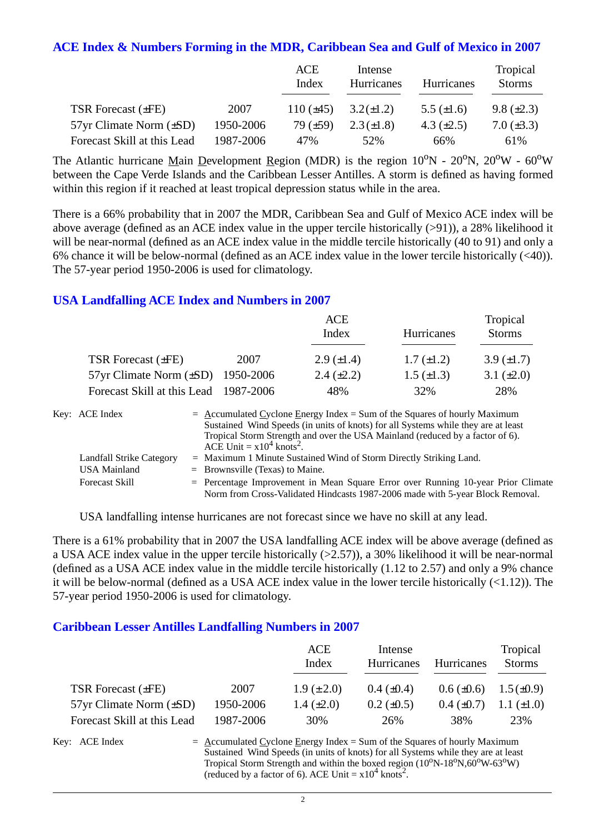#### **ACE Index & Numbers Forming in the MDR, Caribbean Sea and Gulf of Mexico in 2007**

|                                |           | ACE<br>Index   | Intense<br>Hurricanes | Hurricanes      | Tropical<br><b>Storms</b> |
|--------------------------------|-----------|----------------|-----------------------|-----------------|---------------------------|
| <b>TSR Forecast (±FE)</b>      | 2007      | 110 $(\pm 45)$ | $3.2(\pm 1.2)$        | 5.5 $(\pm 1.6)$ | $9.8 (\pm 2.3)$           |
| $57yr$ Climate Norm $(\pm SD)$ | 1950-2006 | 79 $(\pm 59)$  | $2.3 (\pm 1.8)$       | 4.3 $(\pm 2.5)$ | $7.0 (\pm 3.3)$           |
| Forecast Skill at this Lead    | 1987-2006 | 47%            | 52%                   | 66%             | 61%                       |

The Atlantic hurricane Main Development Region (MDR) is the region  $10^{\circ}N - 20^{\circ}N$ ,  $20^{\circ}W - 60^{\circ}W$ between the Cape Verde Islands and the Caribbean Lesser Antilles. A storm is defined as having formed within this region if it reached at least tropical depression status while in the area.

There is a 66% probability that in 2007 the MDR, Caribbean Sea and Gulf of Mexico ACE index will be above average (defined as an ACE index value in the upper tercile historically (>91)), a 28% likelihood it will be near-normal (defined as an ACE index value in the middle tercile historically (40 to 91) and only a 6% chance it will be below-normal (defined as an ACE index value in the lower tercile historically (<40)). The 57-year period 1950-2006 is used for climatology.

#### **USA Landfalling ACE Index and Numbers in 2007**

|                                       |           | <b>ACE</b><br>Index | <b>Hurricanes</b> | Tropical<br><b>Storms</b> |
|---------------------------------------|-----------|---------------------|-------------------|---------------------------|
| TSR Forecast (±FE)                    | 2007      | $2.9 \ (\pm 1.4)$   | $1.7 \ (\pm 1.2)$ | 3.9 $(\pm 1.7)$           |
| $57yr$ Climate Norm $(\pm SD)$        | 1950-2006 | $2.4 \ (\pm 2.2)$   | $1.5 \ (\pm 1.3)$ | 3.1 $(\pm 2.0)$           |
| Forecast Skill at this Lead 1987-2006 |           | 48%                 | 32%               | 28%                       |

| Key: ACE Index           | $=$ Accumulated Cyclone Energy Index $=$ Sum of the Squares of hourly Maximum                                                                                       |
|--------------------------|---------------------------------------------------------------------------------------------------------------------------------------------------------------------|
|                          | Sustained Wind Speeds (in units of knots) for all Systems while they are at least                                                                                   |
|                          | Tropical Storm Strength and over the USA Mainland (reduced by a factor of 6).<br>ACE Unit = $x10^4$ knots <sup>2</sup> .                                            |
| Landfall Strike Category | $=$ Maximum 1 Minute Sustained Wind of Storm Directly Striking Land.                                                                                                |
| <b>USA Mainland</b>      | $=$ Brownsville (Texas) to Maine.                                                                                                                                   |
| <b>Forecast Skill</b>    | $=$ Percentage Improvement in Mean Square Error over Running 10-year Prior Climate<br>Norm from Cross-Validated Hindcasts 1987-2006 made with 5-year Block Removal. |

USA landfalling intense hurricanes are not forecast since we have no skill at any lead.

There is a 61% probability that in 2007 the USA landfalling ACE index will be above average (defined as a USA ACE index value in the upper tercile historically  $(>2.57)$ ), a 30% likelihood it will be near-normal (defined as a USA ACE index value in the middle tercile historically (1.12 to 2.57) and only a 9% chance it will be below-normal (defined as a USA ACE index value in the lower tercile historically (<1.12)). The 57-year period 1950-2006 is used for climatology.

#### **Caribbean Lesser Antilles Landfalling Numbers in 2007**

|                                |           | ACE<br>Index      | Intense<br><b>Hurricanes</b> | Hurricanes      | Tropical<br><b>Storms</b> |
|--------------------------------|-----------|-------------------|------------------------------|-----------------|---------------------------|
| TSR Forecast $(\pm FE)$        | 2007      | $1.9 \ (\pm 2.0)$ | $0.4~(\pm 0.4)$              | $0.6 (\pm 0.6)$ | $1.5 \ (\pm 0.9)$         |
| $57yr$ Climate Norm $(\pm SD)$ | 1950-2006 | 1.4 $(\pm 2.0)$   | $0.2 \ (\pm 0.5)$            | $0.4~(\pm 0.7)$ | 1.1 $(\pm 1.0)$           |
| Forecast Skill at this Lead    | 1987-2006 | 30%               | 26%                          | 38%             | 23%                       |

Key: ACE Index  $=$  Accumulated Cyclone Energy Index = Sum of the Squares of hourly Maximum Sustained Wind Speeds (in units of knots) for all Systems while they are at least Tropical Storm Strength and within the boxed region  $(10^0N-18^0N, 60^0W-63^0W)$ (reduced by a factor of 6). ACE Unit =  $x10^4$  knots<sup>2</sup>.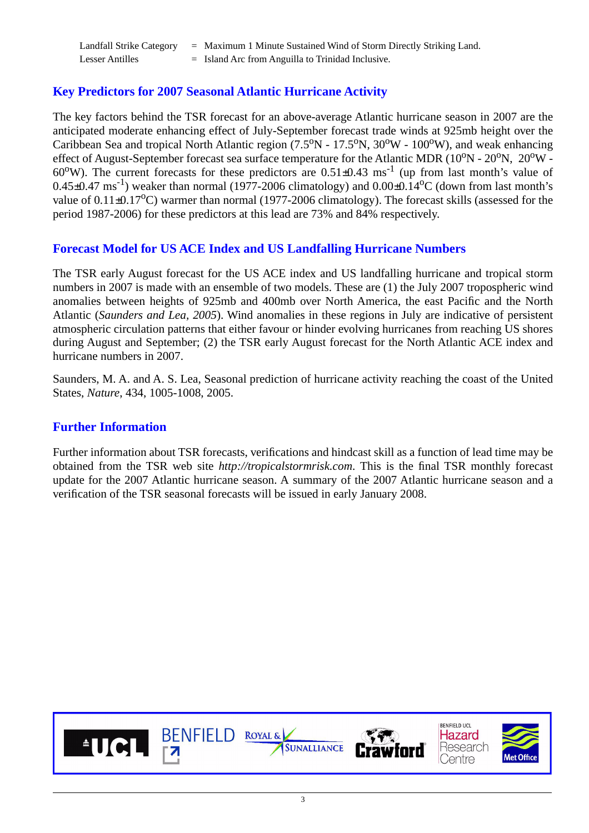| <b>Landfall Strike Category</b> | $=$ Maximum 1 Minute Sustained Wind of Storm Directly Striking Land. |
|---------------------------------|----------------------------------------------------------------------|
| <b>Lesser Antilles</b>          | $=$ Island Arc from Anguilla to Trinidad Inclusive.                  |

#### **Key Predictors for 2007 Seasonal Atlantic Hurricane Activity**

The key factors behind the TSR forecast for an above-average Atlantic hurricane season in 2007 are the anticipated moderate enhancing effect of July-September forecast trade winds at 925mb height over the Caribbean Sea and tropical North Atlantic region  $(7.5^{\circ}N - 17.5^{\circ}N, 30^{\circ}W - 100^{\circ}W)$ , and weak enhancing effect of August-September forecast sea surface temperature for the Atlantic MDR ( $10^{o}N - 20^{o}N$ ,  $20^{o}W 60^{\circ}$ W). The current forecasts for these predictors are  $0.51\pm0.43$  ms<sup>-1</sup> (up from last month's value of  $0.45\pm0.47 \text{ ms}^{-1}$ ) weaker than normal (1977-2006 climatology) and  $0.00\pm0.14\text{°C}$  (down from last month's value of  $0.11\pm0.17^{\circ}$ C) warmer than normal (1977-2006 climatology). The forecast skills (assessed for the period 1987-2006) for these predictors at this lead are 73% and 84% respectively.

#### **Forecast Model for US ACE Index and US Landfalling Hurricane Numbers**

The TSR early August forecast for the US ACE index and US landfalling hurricane and tropical storm numbers in 2007 is made with an ensemble of two models. These are (1) the July 2007 tropospheric wind anomalies between heights of 925mb and 400mb over North America, the east Pacific and the North Atlantic (*Saunders and Lea, 2005*). Wind anomalies in these regions in July are indicative of persistent atmospheric circulation patterns that either favour or hinder evolving hurricanes from reaching US shores during August and September; (2) the TSR early August forecast for the North Atlantic ACE index and hurricane numbers in 2007.

Saunders, M. A. and A. S. Lea, Seasonal prediction of hurricane activity reaching the coast of the United States, *Nature*, 434, 1005-1008, 2005.

#### **Further Information**

Further information about TSR forecasts, verifications and hindcast skill as a function of lead time may be obtained from the TSR web site *http://tropicalstormrisk.com*. This is the final TSR monthly forecast update for the 2007 Atlantic hurricane season. A summary of the 2007 Atlantic hurricane season and a verification of the TSR seasonal forecasts will be issued in early January 2008.

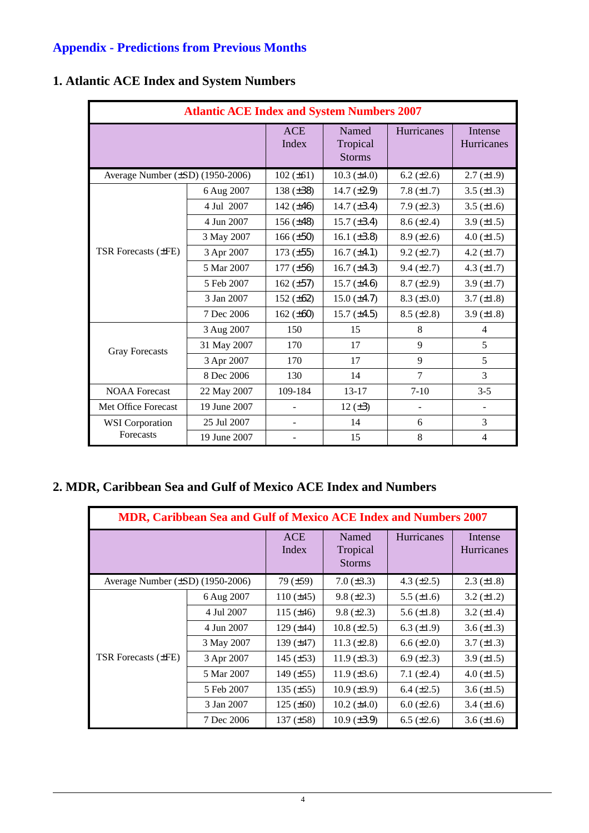## **Appendix - Predictions from Previous Months**

|                                  | <b>Atlantic ACE Index and System Numbers 2007</b> |                     |                                    |                   |                              |  |  |  |
|----------------------------------|---------------------------------------------------|---------------------|------------------------------------|-------------------|------------------------------|--|--|--|
|                                  |                                                   | <b>ACE</b><br>Index | Named<br>Tropical<br><b>Storms</b> | <b>Hurricanes</b> | Intense<br><b>Hurricanes</b> |  |  |  |
| Average Number (±SD) (1950-2006) |                                                   | $102 (\pm 61)$      | $10.3 (\pm 4.0)$                   | 6.2 $(\pm 2.6)$   | $2.7 (\pm 1.9)$              |  |  |  |
|                                  | 6 Aug 2007                                        | 138 $(\pm 38)$      | 14.7 $(\pm 2.9)$                   | 7.8 $(\pm 1.7)$   | 3.5 $(\pm 1.3)$              |  |  |  |
|                                  | 4 Jul 2007                                        | 142 $(\pm 46)$      | 14.7 $(\pm 3.4)$                   | $7.9 (\pm 2.3)$   | 3.5 $(\pm 1.6)$              |  |  |  |
|                                  | 4 Jun 2007                                        | 156 $(\pm 48)$      | 15.7 $(\pm 3.4)$                   | $8.6 (\pm 2.4)$   | 3.9 $(\pm 1.5)$              |  |  |  |
|                                  | 3 May 2007                                        | $166 (\pm 50)$      | 16.1 $(\pm 3.8)$                   | $8.9 \ (\pm 2.6)$ | 4.0 $(\pm 1.5)$              |  |  |  |
| <b>TSR</b> Forecasts ( $\pm$ FE) | 3 Apr 2007                                        | $173 (\pm 55)$      | $16.7 (\pm 4.1)$                   | $9.2 (\pm 2.7)$   | 4.2 $(\pm 1.7)$              |  |  |  |
|                                  | 5 Mar 2007                                        | $177 (\pm 56)$      | 16.7 $(\pm 4.3)$                   | $9.4 (\pm 2.7)$   | 4.3 $(\pm 1.7)$              |  |  |  |
|                                  | 5 Feb 2007                                        | 162 $(\pm 57)$      | $15.7 (\pm 4.6)$                   | $8.7 (\pm 2.9)$   | 3.9 $(\pm 1.7)$              |  |  |  |
|                                  | 3 Jan 2007                                        | 152 $(\pm 62)$      | $15.0 (\pm 4.7)$                   | $8.3 (\pm 3.0)$   | $3.7 (\pm 1.8)$              |  |  |  |
|                                  | 7 Dec 2006                                        | 162 $(\pm 60)$      | $15.7 (\pm 4.5)$                   | $8.5 (\pm 2.8)$   | 3.9 $(\pm 1.8)$              |  |  |  |
|                                  | 3 Aug 2007                                        | 150                 | 15                                 | 8                 | 4                            |  |  |  |
| <b>Gray Forecasts</b>            | 31 May 2007                                       | 170                 | 17                                 | 9                 | 5                            |  |  |  |
|                                  | 3 Apr 2007                                        | 170                 | 17                                 | 9                 | 5                            |  |  |  |
|                                  | 8 Dec 2006                                        | 130                 | 14                                 | $\overline{7}$    | 3                            |  |  |  |
| <b>NOAA</b> Forecast             | 22 May 2007                                       | 109-184             | $13 - 17$                          | $7 - 10$          | $3 - 5$                      |  |  |  |
| Met Office Forecast              | 19 June 2007                                      |                     | 12 $(\pm 3)$                       | $\sim$            | $\blacksquare$               |  |  |  |
| <b>WSI</b> Corporation           | 25 Jul 2007                                       |                     | 14                                 | 6                 | 3                            |  |  |  |
| Forecasts                        | 19 June 2007                                      |                     | 15                                 | 8                 | $\overline{4}$               |  |  |  |

## **1. Atlantic ACE Index and System Numbers**

## **2. MDR, Caribbean Sea and Gulf of Mexico ACE Index and Numbers**

| <b>MDR, Caribbean Sea and Gulf of Mexico ACE Index and Numbers 2007</b> |            |                     |                                    |                   |                              |  |  |
|-------------------------------------------------------------------------|------------|---------------------|------------------------------------|-------------------|------------------------------|--|--|
|                                                                         |            | <b>ACE</b><br>Index | Named<br>Tropical<br><b>Storms</b> | <b>Hurricanes</b> | Intense<br><b>Hurricanes</b> |  |  |
| Average Number $(\pm SD)$ (1950-2006)                                   |            | 79(.±59)            | $7.0 (\pm 3.3)$                    | 4.3 $(\pm 2.5)$   | $2.3 \ (\pm 1.8)$            |  |  |
|                                                                         | 6 Aug 2007 | $110 (\pm 45)$      | $9.8 (\pm 2.3)$                    | 5.5 $(\pm 1.6)$   | $3.2 (\pm 1.2)$              |  |  |
|                                                                         | 4 Jul 2007 | 115 $(\pm 46)$      | $9.8 (\pm 2.3)$                    | 5.6 $(\pm 1.8)$   | 3.2 $(\pm 1.4)$              |  |  |
|                                                                         | 4 Jun 2007 | $129$ ( $\pm$ 44)   | $10.8 (\pm 2.5)$                   | 6.3 $(\pm 1.9)$   | 3.6 $(\pm 1.3)$              |  |  |
|                                                                         | 3 May 2007 | 139 $(\pm 47)$      | 11.3 $(\pm 2.8)$                   | $6.6 (\pm 2.0)$   | $3.7 (\pm 1.3)$              |  |  |
| <b>TSR Forecasts (±FE)</b>                                              | 3 Apr 2007 | 145 $(\pm 53)$      | $11.9 \ (\pm 3.3)$                 | $6.9 \ (\pm 2.3)$ | 3.9 $(\pm 1.5)$              |  |  |
|                                                                         | 5 Mar 2007 | 149 $(\pm 55)$      | $11.9 \ (\pm 3.6)$                 | 7.1 $(\pm 2.4)$   | 4.0 $(\pm 1.5)$              |  |  |
|                                                                         | 5 Feb 2007 | 135 $(\pm 55)$      | $10.9 \ (\pm 3.9)$                 | $6.4 (\pm 2.5)$   | 3.6 $(\pm 1.5)$              |  |  |
|                                                                         | 3 Jan 2007 | $125 (\pm 60)$      | $10.2 (\pm 4.0)$                   | $6.0 (\pm 2.6)$   | $3.4 (\pm 1.6)$              |  |  |
|                                                                         | 7 Dec 2006 | $137 (\pm 58)$      | $10.9 \ (\pm 3.9)$                 | $6.5 (\pm 2.6)$   | $3.6 (\pm 1.6)$              |  |  |